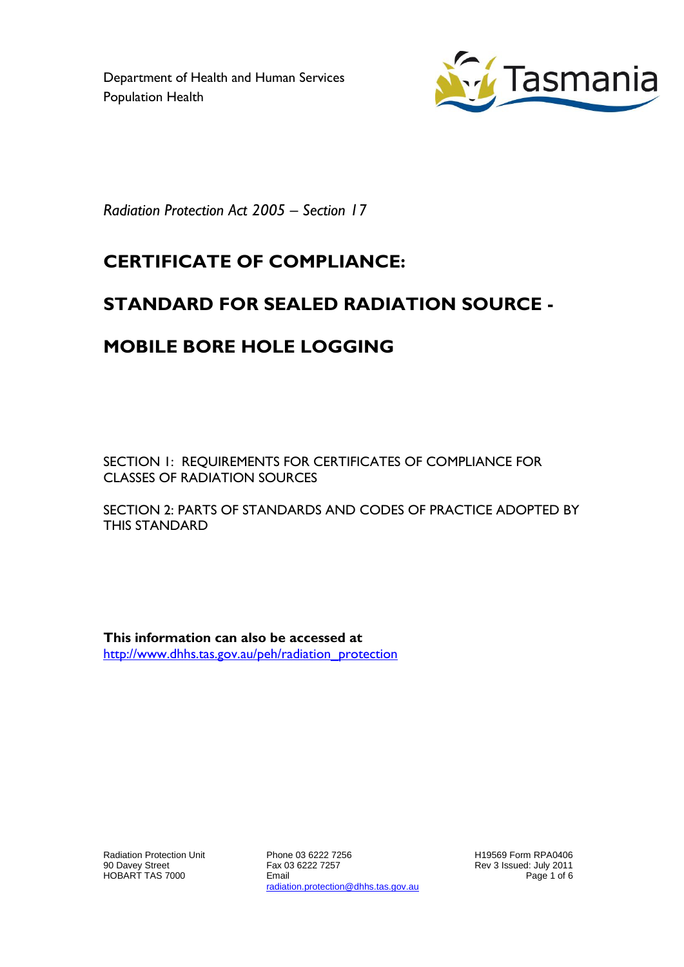Department of Health and Human Services Population Health



*Radiation Protection Act 2005 – Section 17*

## **CERTIFICATE OF COMPLIANCE:**

## **STANDARD FOR SEALED RADIATION SOURCE -**

## **MOBILE BORE HOLE LOGGING**

SECTION 1: REQUIREMENTS FOR CERTIFICATES OF COMPLIANCE FOR CLASSES OF RADIATION SOURCES

SECTION 2: PARTS OF STANDARDS AND CODES OF PRACTICE ADOPTED BY THIS STANDARD

**This information can also be accessed at** [http://www.dhhs.tas.gov.au/peh/radiation\\_protection](http://www.dhhs.tas.gov.au/peh/radiation_protection)

Radiation Protection Unit 90 Davey Street HOBART TAS 7000

Phone 03 6222 7256 Fax 03 6222 7257 Email radiation.protection@dhhs.tas.gov.au H19569 Form RPA0406 Rev 3 Issued: July 2011 Page 1 of 6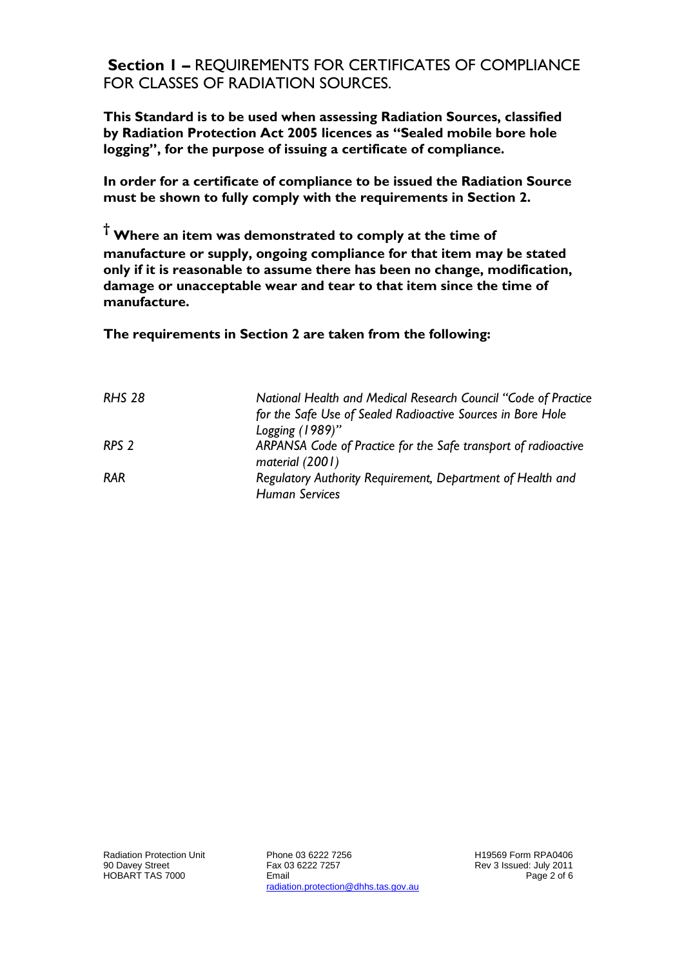**Section 1 –** REQUIREMENTS FOR CERTIFICATES OF COMPLIANCE FOR CLASSES OF RADIATION SOURCES.

**This Standard is to be used when assessing Radiation Sources, classified by Radiation Protection Act 2005 licences as "Sealed mobile bore hole logging", for the purpose of issuing a certificate of compliance.**

**In order for a certificate of compliance to be issued the Radiation Source must be shown to fully comply with the requirements in Section 2.**

**† Where an item was demonstrated to comply at the time of manufacture or supply, ongoing compliance for that item may be stated only if it is reasonable to assume there has been no change, modification, damage or unacceptable wear and tear to that item since the time of manufacture.** 

**The requirements in Section 2 are taken from the following:**

| <b>RHS 28</b>    | National Health and Medical Research Council "Code of Practice"                   |
|------------------|-----------------------------------------------------------------------------------|
|                  | for the Safe Use of Sealed Radioactive Sources in Bore Hole                       |
|                  | Logging $(1989)$ "                                                                |
| RPS <sub>2</sub> | ARPANSA Code of Practice for the Safe transport of radioactive<br>material (2001) |
| <b>RAR</b>       | Regulatory Authority Requirement, Department of Health and                        |
|                  | <b>Human Services</b>                                                             |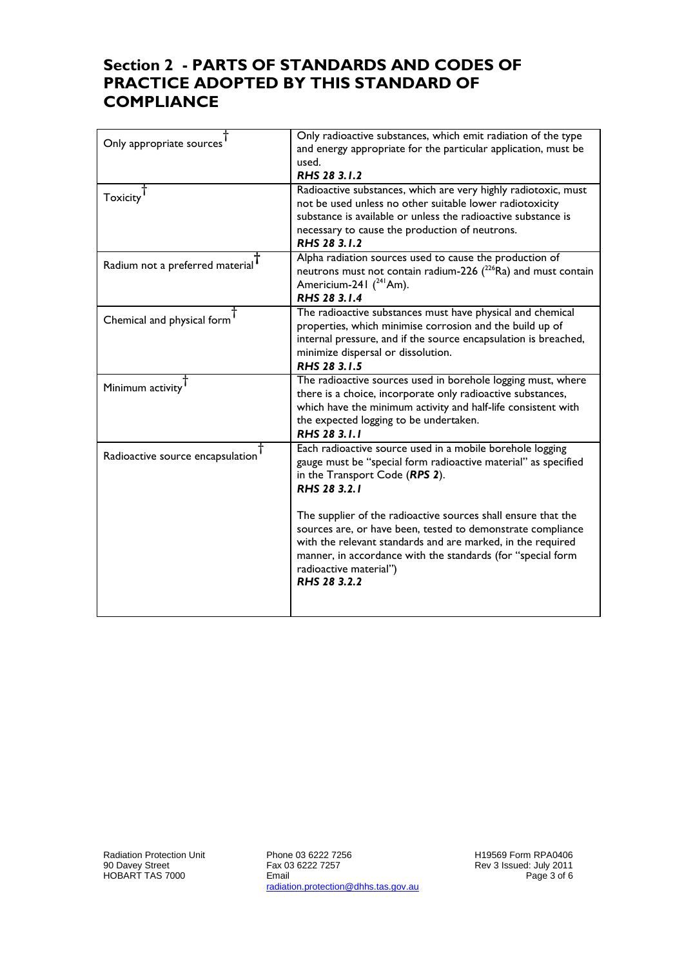## **Section 2 - PARTS OF STANDARDS AND CODES OF PRACTICE ADOPTED BY THIS STANDARD OF COMPLIANCE**

| Only appropriate sources         | Only radioactive substances, which emit radiation of the type<br>and energy appropriate for the particular application, must be<br>used.<br>RHS 28 3.1.2                                                                                                                                             |
|----------------------------------|------------------------------------------------------------------------------------------------------------------------------------------------------------------------------------------------------------------------------------------------------------------------------------------------------|
| Toxicity <sup>T</sup>            | Radioactive substances, which are very highly radiotoxic, must<br>not be used unless no other suitable lower radiotoxicity<br>substance is available or unless the radioactive substance is<br>necessary to cause the production of neutrons.<br>RHS 28 3.1.2                                        |
| Radium not a preferred material  | Alpha radiation sources used to cause the production of<br>neutrons must not contain radium-226 $(^{226}Ra)$ and must contain<br>Americium-241 ( <sup>241</sup> Am).<br>RHS 28 3.1.4                                                                                                                 |
| Chemical and physical form       | The radioactive substances must have physical and chemical<br>properties, which minimise corrosion and the build up of<br>internal pressure, and if the source encapsulation is breached,<br>minimize dispersal or dissolution.<br>RHS 28 3.1.5                                                      |
| Minimum activity                 | The radioactive sources used in borehole logging must, where<br>there is a choice, incorporate only radioactive substances,<br>which have the minimum activity and half-life consistent with<br>the expected logging to be undertaken.<br>RHS 28 3.1.1                                               |
| Radioactive source encapsulation | Each radioactive source used in a mobile borehole logging<br>gauge must be "special form radioactive material" as specified<br>in the Transport Code (RPS 2).<br>RHS 28 3.2.1                                                                                                                        |
|                                  | The supplier of the radioactive sources shall ensure that the<br>sources are, or have been, tested to demonstrate compliance<br>with the relevant standards and are marked, in the required<br>manner, in accordance with the standards (for "special form<br>radioactive material")<br>RHS 28 3.2.2 |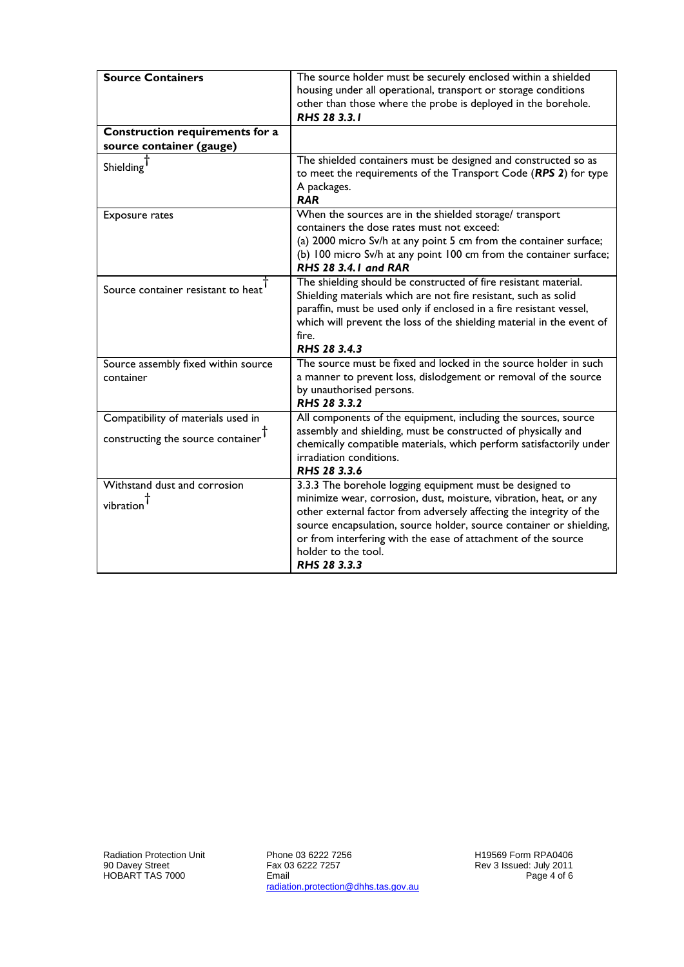| <b>Source Containers</b>                                                | The source holder must be securely enclosed within a shielded<br>housing under all operational, transport or storage conditions<br>other than those where the probe is deployed in the borehole.<br>RHS 28 3.3.1                                                                                                                                                                    |
|-------------------------------------------------------------------------|-------------------------------------------------------------------------------------------------------------------------------------------------------------------------------------------------------------------------------------------------------------------------------------------------------------------------------------------------------------------------------------|
| Construction requirements for a<br>source container (gauge)             |                                                                                                                                                                                                                                                                                                                                                                                     |
| Shielding <sup>1</sup>                                                  | The shielded containers must be designed and constructed so as<br>to meet the requirements of the Transport Code (RPS 2) for type<br>A packages.<br><b>RAR</b>                                                                                                                                                                                                                      |
| <b>Exposure rates</b>                                                   | When the sources are in the shielded storage/ transport<br>containers the dose rates must not exceed:<br>(a) 2000 micro Sv/h at any point 5 cm from the container surface;<br>(b) 100 micro Sv/h at any point 100 cm from the container surface;<br><b>RHS 28 3.4.1 and RAR</b>                                                                                                     |
| Source container resistant to heat                                      | The shielding should be constructed of fire resistant material.<br>Shielding materials which are not fire resistant, such as solid<br>paraffin, must be used only if enclosed in a fire resistant vessel,<br>which will prevent the loss of the shielding material in the event of<br>fire.<br>RHS 28 3.4.3                                                                         |
| Source assembly fixed within source<br>container                        | The source must be fixed and locked in the source holder in such<br>a manner to prevent loss, dislodgement or removal of the source<br>by unauthorised persons.<br>RHS 28 3.3.2                                                                                                                                                                                                     |
| Compatibility of materials used in<br>constructing the source container | All components of the equipment, including the sources, source<br>assembly and shielding, must be constructed of physically and<br>chemically compatible materials, which perform satisfactorily under<br>irradiation conditions.<br>RHS 28 3.3.6                                                                                                                                   |
| Withstand dust and corrosion<br>vibration                               | 3.3.3 The borehole logging equipment must be designed to<br>minimize wear, corrosion, dust, moisture, vibration, heat, or any<br>other external factor from adversely affecting the integrity of the<br>source encapsulation, source holder, source container or shielding,<br>or from interfering with the ease of attachment of the source<br>holder to the tool.<br>RHS 28 3.3.3 |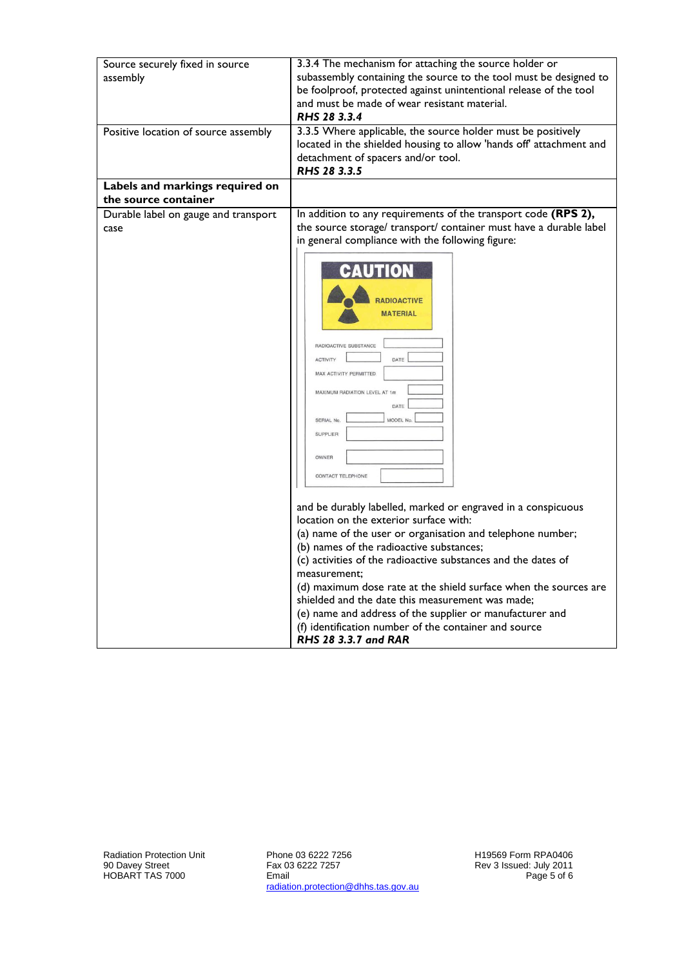| Source securely fixed in source<br>assembly             | 3.3.4 The mechanism for attaching the source holder or<br>subassembly containing the source to the tool must be designed to<br>be foolproof, protected against unintentional release of the tool<br>and must be made of wear resistant material.<br>RHS 28 3.3.4 |
|---------------------------------------------------------|------------------------------------------------------------------------------------------------------------------------------------------------------------------------------------------------------------------------------------------------------------------|
| Positive location of source assembly                    | 3.3.5 Where applicable, the source holder must be positively<br>located in the shielded housing to allow 'hands off' attachment and<br>detachment of spacers and/or tool.<br>RHS 28 3.3.5                                                                        |
| Labels and markings required on<br>the source container |                                                                                                                                                                                                                                                                  |
|                                                         |                                                                                                                                                                                                                                                                  |
| Durable label on gauge and transport<br>case            | In addition to any requirements of the transport code (RPS 2),<br>the source storage/ transport/ container must have a durable label<br>in general compliance with the following figure:                                                                         |
|                                                         | $\blacksquare$<br><b>RADIOACTIVE</b><br><b>MATERIAL</b><br>RADIOACTIVE SUBSTANCE<br>DATE<br><b>ACTIVITY</b><br>MAX ACTIVITY PERMITTED<br>MAXIMUM RADIATION LEVEL AT 1m<br>DATE<br>MODEL No.<br><b>SERIAL No</b><br><b>SUPPLIER</b><br>OWNER<br>CONTACT TELEPHONE |
|                                                         | and be durably labelled, marked or engraved in a conspicuous<br>location on the exterior surface with:<br>(a) name of the user or organisation and telephone number;<br>(b) names of the radioactive substances;                                                 |
|                                                         | (c) activities of the radioactive substances and the dates of                                                                                                                                                                                                    |
|                                                         | measurement;                                                                                                                                                                                                                                                     |
|                                                         | (d) maximum dose rate at the shield surface when the sources are                                                                                                                                                                                                 |
|                                                         | shielded and the date this measurement was made;                                                                                                                                                                                                                 |
|                                                         | (e) name and address of the supplier or manufacturer and                                                                                                                                                                                                         |
|                                                         | (f) identification number of the container and source<br>RHS 28 3.3.7 and RAR                                                                                                                                                                                    |

Phone 03 6222 7256 Fax 03 6222 7257 Email radiation.protection@dhhs.tas.gov.au